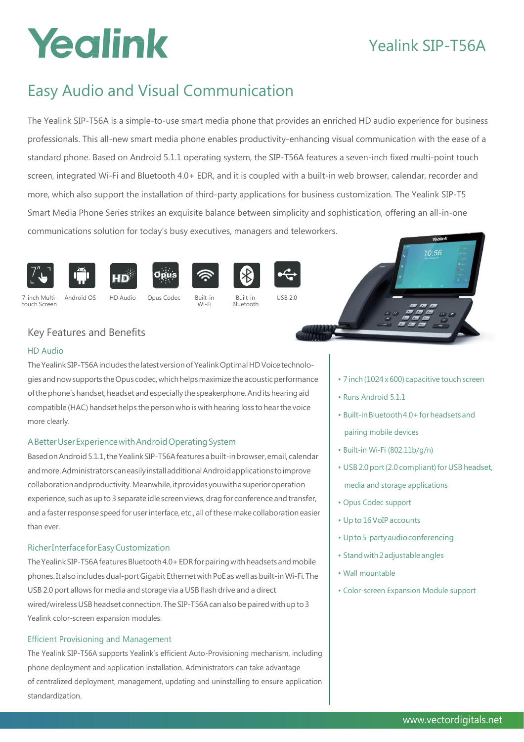# Yealink

## Yealink SIP-T56A

## Easy Audio and Visual Communication

The Yealink SIP-T56A is a simple-to-use smart media phone that provides an enriched HD audio experience for business professionals. This all-new smart media phone enables productivity-enhancing visual communication with the ease of a standard phone. Based on Android 5.1.1 operating system, the SIP-T56A features a seven-inch fixed multi-point touch screen, integrated Wi-Fi and Bluetooth 4.0+ EDR, and it is coupled with a built-in web browser, calendar, recorder and more, which also support the installation of third-party applications for business customization. The Yealink SIP-T5 Smart Media Phone Series strikes an exquisite balance between simplicity and sophistication, offering an all-in-one communications solution for today's busy executives, managers and teleworkers.















7-inch Multi- Android OS HD Audio Opus Codec Built-in Built-in USB 2.0 touch Screen Wi-Fi Bluetooth





### Key Features and Benefits

#### HD Audio

The Yealink SIP-T56A includes the latest version of Yealink Optimal HD Voice technologiesandnowsupports theOpus codec,whichhelpsmaximizetheacousticperformance of the phone's handset, headset and especially the speakerphone. And its hearing aid compatible (HAC) handset helps the person who is with hearing loss to hear the voice more clearly.

### ABetterUserExperiencewithAndroidOperatingSystem

Based on Android 5.1.1, the Yealink SIP-T56A features a built-in browser, email, calendar andmore.AdministratorscaneasilyinstalladditionalAndroidapplications toimprove collaborationandproductivity.Meanwhile,itprovidesyouwithasuperioroperation experience, such as up to 3 separate idle screen views, drag for conference and transfer, and a faster response speed for user interface, etc., all of these make collaboration easier than ever.

#### RicherInterfaceforEasyCustomization

The Yealink SIP-T56A features Bluetooth 4.0+ EDR for pairing with headsets and mobile phones. It also includes dual-port Gigabit Ethernet with PoE as well as built-in Wi-Fi. The USB 2.0 port allows for media and storage via a USB flash drive and a direct wired/wireless USB headset connection. The SIP-T56A can also be paired with up to 3 Yealink color-screen expansion modules.

#### Efficient Provisioning and Management

The Yealink SIP-T56A supports Yealink's efficient Auto-Provisioning mechanism, including phone deployment and application installation. Administrators can take advantage of centralized deployment, management, updating and uninstalling to ensure application standardization.

- 7 inch (1024 x 600) capacitive touch screen
- Runs Android 5.1.1
- Built-inBluetooth4.0+forheadsetsand pairing mobile devices
- Built-in Wi-Fi (802.11b/g/n)
- USB 2.0 port (2.0 compliant) for USB headset, media and storage applications
- Opus Codec support
- Upto 16VoIP accounts
- Upto5-partyaudioconferencing
- Standwith2adjustableangles
- Wall mountable
- Color-screen Expansion Module support